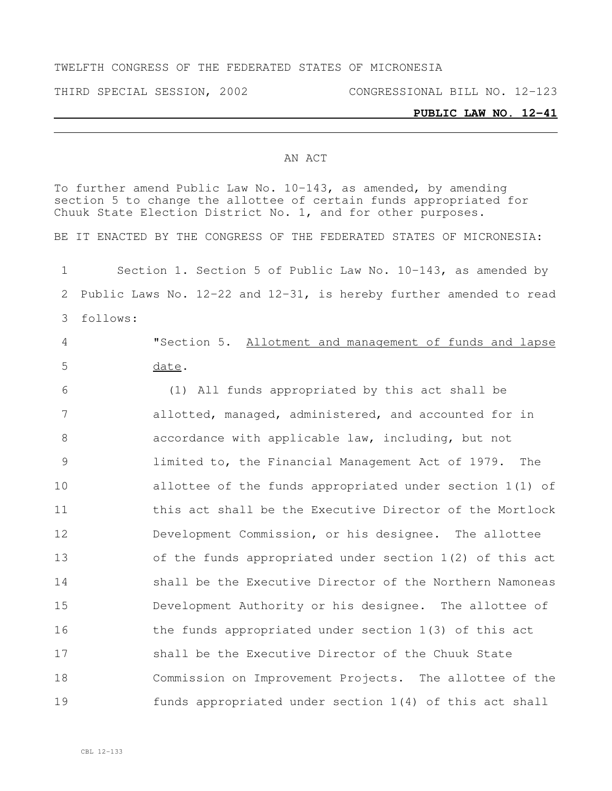#### TWELFTH CONGRESS OF THE FEDERATED STATES OF MICRONESIA

THIRD SPECIAL SESSION, 2002 CONGRESSIONAL BILL NO. 12-123

#### **PUBLIC LAW NO. 12-41**

#### AN ACT

To further amend Public Law No. 10-143, as amended, by amending section 5 to change the allottee of certain funds appropriated for Chuuk State Election District No. 1, and for other purposes. BE IT ENACTED BY THE CONGRESS OF THE FEDERATED STATES OF MICRONESIA: Section 1. Section 5 of Public Law No. 10-143, as amended by Public Laws No. 12-22 and 12-31, is hereby further amended to read follows: "Section 5. Allotment and management of funds and lapse date. (1) All funds appropriated by this act shall be allotted, managed, administered, and accounted for in accordance with applicable law, including, but not limited to, the Financial Management Act of 1979. The allottee of the funds appropriated under section 1(1) of 11 this act shall be the Executive Director of the Mortlock Development Commission, or his designee. The allottee of the funds appropriated under section 1(2) of this act shall be the Executive Director of the Northern Namoneas Development Authority or his designee. The allottee of the funds appropriated under section 1(3) of this act shall be the Executive Director of the Chuuk State Commission on Improvement Projects. The allottee of the funds appropriated under section 1(4) of this act shall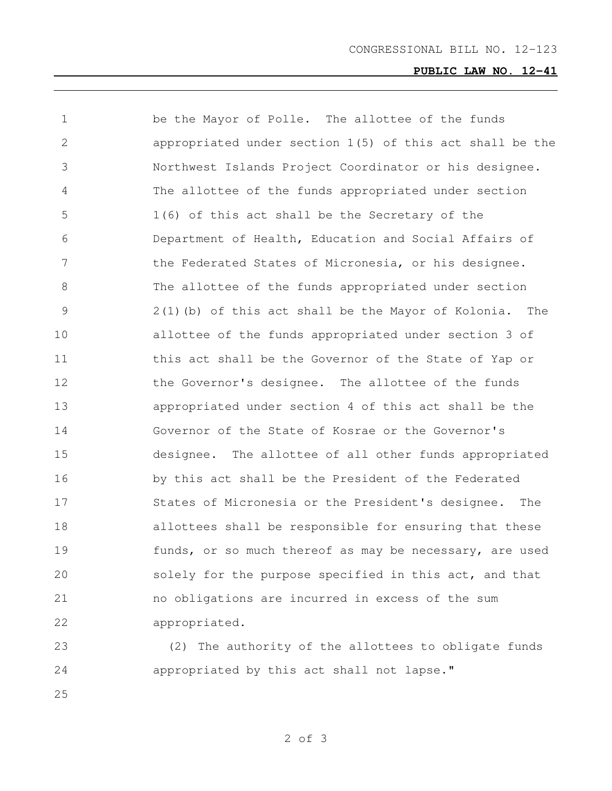# **PUBLIC LAW NO. 12-41**

| 1             | be the Mayor of Polle. The allottee of the funds           |
|---------------|------------------------------------------------------------|
| 2             | appropriated under section $1(5)$ of this act shall be the |
| 3             | Northwest Islands Project Coordinator or his designee.     |
| 4             | The allottee of the funds appropriated under section       |
| 5             | 1(6) of this act shall be the Secretary of the             |
| 6             | Department of Health, Education and Social Affairs of      |
| 7             | the Federated States of Micronesia, or his designee.       |
| 8             | The allottee of the funds appropriated under section       |
| $\mathcal{G}$ | 2(1)(b) of this act shall be the Mayor of Kolonia.<br>The  |
| 10            | allottee of the funds appropriated under section 3 of      |
| 11            | this act shall be the Governor of the State of Yap or      |
| 12            | the Governor's designee. The allottee of the funds         |
| 13            | appropriated under section 4 of this act shall be the      |
| 14            | Governor of the State of Kosrae or the Governor's          |
| 15            | designee. The allottee of all other funds appropriated     |
| 16            | by this act shall be the President of the Federated        |
| 17            | States of Micronesia or the President's designee.<br>The   |
| 18            | allottees shall be responsible for ensuring that these     |
| 19            | funds, or so much thereof as may be necessary, are used    |
| 20            | solely for the purpose specified in this act, and that     |
| 21            | no obligations are incurred in excess of the sum           |
| 22            | appropriated.                                              |
|               |                                                            |

 (2) The authority of the allottees to obligate funds appropriated by this act shall not lapse."

of 3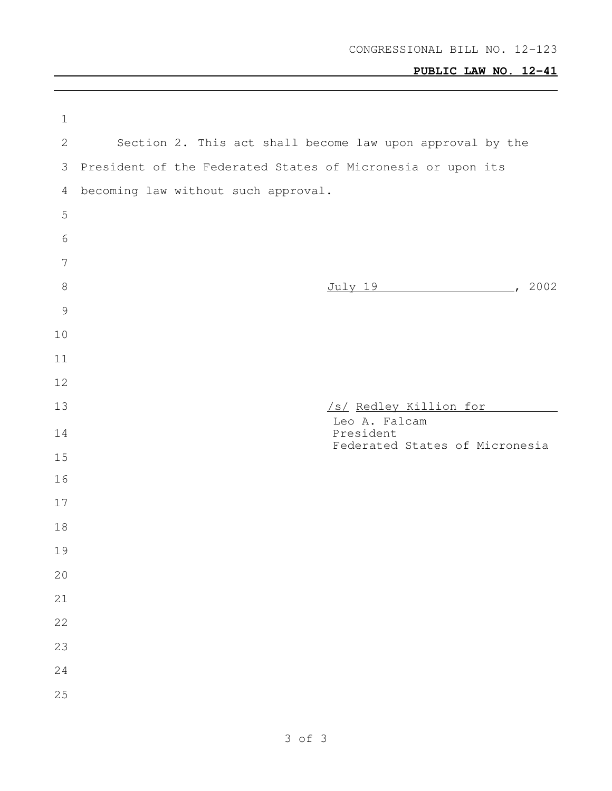# **PUBLIC LAW NO. 12-41**

| $\mathbf 1$     |                                     |  |                                                             |                                                           |  |
|-----------------|-------------------------------------|--|-------------------------------------------------------------|-----------------------------------------------------------|--|
| 2               |                                     |  |                                                             | Section 2. This act shall become law upon approval by the |  |
| 3               |                                     |  | President of the Federated States of Micronesia or upon its |                                                           |  |
| $\overline{4}$  | becoming law without such approval. |  |                                                             |                                                           |  |
| 5               |                                     |  |                                                             |                                                           |  |
| 6               |                                     |  |                                                             |                                                           |  |
| $7\phantom{.0}$ |                                     |  |                                                             |                                                           |  |
| $\,8\,$         |                                     |  |                                                             | July 19 (2002)                                            |  |
| $\mathcal{G}$   |                                     |  |                                                             |                                                           |  |
| 10              |                                     |  |                                                             |                                                           |  |
| 11              |                                     |  |                                                             |                                                           |  |
| 12              |                                     |  |                                                             |                                                           |  |
| 13              |                                     |  | Leo A. Falcam                                               | /s/ Redley Killion for                                    |  |
| 14              |                                     |  | President                                                   | Federated States of Micronesia                            |  |
| 15              |                                     |  |                                                             |                                                           |  |
|                 |                                     |  |                                                             |                                                           |  |
| 16              |                                     |  |                                                             |                                                           |  |
| 17              |                                     |  |                                                             |                                                           |  |
| 18              |                                     |  |                                                             |                                                           |  |
| 19              |                                     |  |                                                             |                                                           |  |
| 20              |                                     |  |                                                             |                                                           |  |
| 21              |                                     |  |                                                             |                                                           |  |
| 22              |                                     |  |                                                             |                                                           |  |
| 23              |                                     |  |                                                             |                                                           |  |
| 24              |                                     |  |                                                             |                                                           |  |